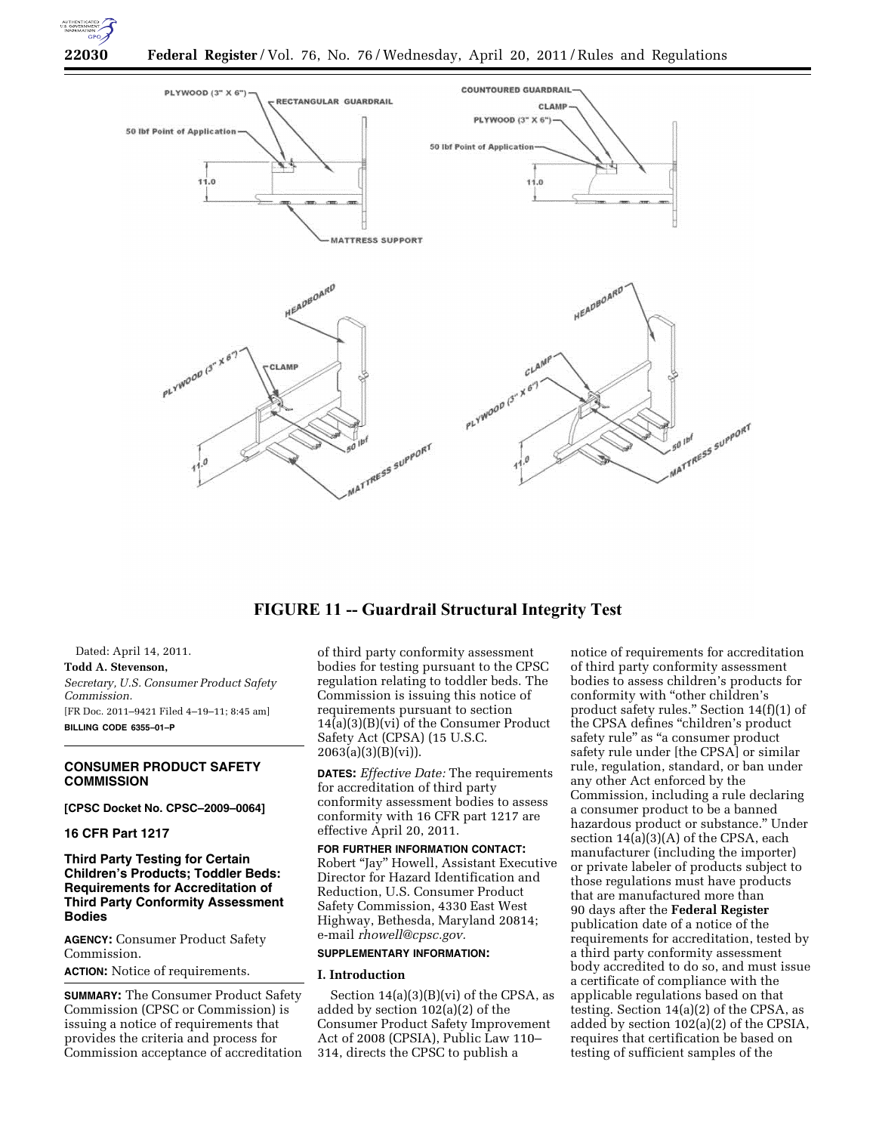



# **FIGURE 11 -- Guardrail Structural Integrity Test**

Dated: April 14, 2011. **Todd A. Stevenson,**  *Secretary, U.S. Consumer Product Safety Commission.*  [FR Doc. 2011–9421 Filed 4–19–11; 8:45 am] **BILLING CODE 6355–01–P** 

# **CONSUMER PRODUCT SAFETY COMMISSION**

**[CPSC Docket No. CPSC–2009–0064]** 

# **16 CFR Part 1217**

**Third Party Testing for Certain Children's Products; Toddler Beds: Requirements for Accreditation of Third Party Conformity Assessment Bodies** 

**AGENCY:** Consumer Product Safety Commission.

**ACTION:** Notice of requirements.

**SUMMARY:** The Consumer Product Safety Commission (CPSC or Commission) is issuing a notice of requirements that provides the criteria and process for Commission acceptance of accreditation of third party conformity assessment bodies for testing pursuant to the CPSC regulation relating to toddler beds. The Commission is issuing this notice of requirements pursuant to section 14(a)(3)(B)(vi) of the Consumer Product Safety Act (CPSA) (15 U.S.C.  $2063(a)(3)(B)(vi)$ .

**DATES:** *Effective Date:* The requirements for accreditation of third party conformity assessment bodies to assess conformity with 16 CFR part 1217 are effective April 20, 2011.

#### **FOR FURTHER INFORMATION CONTACT:**

Robert ''Jay'' Howell, Assistant Executive Director for Hazard Identification and Reduction, U.S. Consumer Product Safety Commission, 4330 East West Highway, Bethesda, Maryland 20814; e-mail *[rhowell@cpsc.gov.](mailto:rhowell@cpsc.gov)* 

# **SUPPLEMENTARY INFORMATION:**

# **I. Introduction**

Section  $14(a)(3)(B)(vi)$  of the CPSA, as added by section 102(a)(2) of the Consumer Product Safety Improvement Act of 2008 (CPSIA), Public Law 110– 314, directs the CPSC to publish a

notice of requirements for accreditation of third party conformity assessment bodies to assess children's products for conformity with ''other children's product safety rules.'' Section 14(f)(1) of the CPSA defines ''children's product safety rule" as "a consumer product safety rule under [the CPSA] or similar rule, regulation, standard, or ban under any other Act enforced by the Commission, including a rule declaring a consumer product to be a banned hazardous product or substance.'' Under section 14(a)(3)(A) of the CPSA, each manufacturer (including the importer) or private labeler of products subject to those regulations must have products that are manufactured more than 90 days after the **Federal Register**  publication date of a notice of the requirements for accreditation, tested by a third party conformity assessment body accredited to do so, and must issue a certificate of compliance with the applicable regulations based on that testing. Section 14(a)(2) of the CPSA, as added by section 102(a)(2) of the CPSIA, requires that certification be based on testing of sufficient samples of the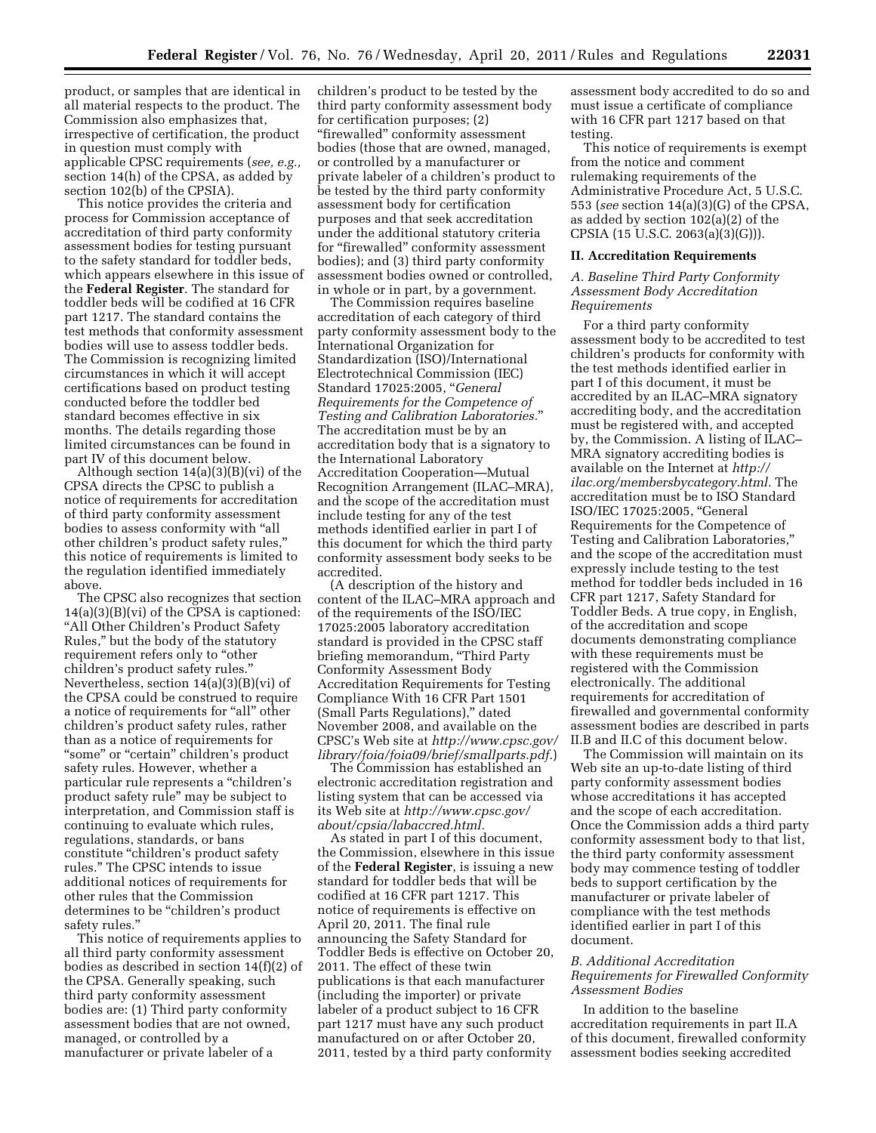product, or samples that are identical in all material respects to the product. The Commission also emphasizes that, irrespective of certification, the product in question must comply with applicable CPSC requirements (*see, e.g.,*  section 14(h) of the CPSA, as added by section 102(b) of the CPSIA).

This notice provides the criteria and process for Commission acceptance of accreditation of third party conformity assessment bodies for testing pursuant to the safety standard for toddler beds, which appears elsewhere in this issue of the **Federal Register**. The standard for toddler beds will be codified at 16 CFR part 1217. The standard contains the test methods that conformity assessment bodies will use to assess toddler beds. The Commission is recognizing limited circumstances in which it will accept certifications based on product testing conducted before the toddler bed standard becomes effective in six months. The details regarding those limited circumstances can be found in part IV of this document below.

Although section 14(a)(3)(B)(vi) of the CPSA directs the CPSC to publish a notice of requirements for accreditation of third party conformity assessment bodies to assess conformity with ''all other children's product safety rules,'' this notice of requirements is limited to the regulation identified immediately above.

The CPSC also recognizes that section 14(a)(3)(B)(vi) of the CPSA is captioned: ''All Other Children's Product Safety Rules,'' but the body of the statutory requirement refers only to ''other children's product safety rules.'' Nevertheless, section 14(a)(3)(B)(vi) of the CPSA could be construed to require a notice of requirements for "all" other children's product safety rules, rather than as a notice of requirements for "some" or "certain" children's product safety rules. However, whether a particular rule represents a ''children's product safety rule'' may be subject to interpretation, and Commission staff is continuing to evaluate which rules, regulations, standards, or bans constitute ''children's product safety rules.'' The CPSC intends to issue additional notices of requirements for other rules that the Commission determines to be ''children's product safety rules.''

This notice of requirements applies to all third party conformity assessment bodies as described in section 14(f)(2) of the CPSA. Generally speaking, such third party conformity assessment bodies are: (1) Third party conformity assessment bodies that are not owned, managed, or controlled by a manufacturer or private labeler of a

children's product to be tested by the third party conformity assessment body for certification purposes; (2) "firewalled" conformity assessment bodies (those that are owned, managed, or controlled by a manufacturer or private labeler of a children's product to be tested by the third party conformity assessment body for certification purposes and that seek accreditation under the additional statutory criteria for ''firewalled'' conformity assessment bodies); and (3) third party conformity assessment bodies owned or controlled, in whole or in part, by a government.

The Commission requires baseline accreditation of each category of third party conformity assessment body to the International Organization for Standardization (ISO)/International Electrotechnical Commission (IEC) Standard 17025:2005, ''*General Requirements for the Competence of Testing and Calibration Laboratories.*'' The accreditation must be by an accreditation body that is a signatory to the International Laboratory Accreditation Cooperation—Mutual Recognition Arrangement (ILAC–MRA), and the scope of the accreditation must include testing for any of the test methods identified earlier in part I of this document for which the third party conformity assessment body seeks to be accredited.

(A description of the history and content of the ILAC–MRA approach and of the requirements of the ISO/IEC 17025:2005 laboratory accreditation standard is provided in the CPSC staff briefing memorandum, ''Third Party Conformity Assessment Body Accreditation Requirements for Testing Compliance With 16 CFR Part 1501 (Small Parts Regulations),'' dated November 2008, and available on the CPSC's Web site at *[http://www.cpsc.gov/](http://www.cpsc.gov/library/foia/foia09/brief/smallparts.pdf)  [library/foia/foia09/brief/smallparts.pdf.](http://www.cpsc.gov/library/foia/foia09/brief/smallparts.pdf)*)

The Commission has established an electronic accreditation registration and listing system that can be accessed via its Web site at *[http://www.cpsc.gov/](http://www.cpsc.gov/about/cpsia/labaccred.html) [about/cpsia/labaccred.html.](http://www.cpsc.gov/about/cpsia/labaccred.html)* 

As stated in part I of this document, the Commission, elsewhere in this issue of the **Federal Register**, is issuing a new standard for toddler beds that will be codified at 16 CFR part 1217. This notice of requirements is effective on April 20, 2011. The final rule announcing the Safety Standard for Toddler Beds is effective on October 20, 2011. The effect of these twin publications is that each manufacturer (including the importer) or private labeler of a product subject to 16 CFR part 1217 must have any such product manufactured on or after October 20, 2011, tested by a third party conformity

assessment body accredited to do so and must issue a certificate of compliance with 16 CFR part 1217 based on that testing.

This notice of requirements is exempt from the notice and comment rulemaking requirements of the Administrative Procedure Act, 5 U.S.C. 553 (*see* section 14(a)(3)(G) of the CPSA, as added by section 102(a)(2) of the CPSIA (15 U.S.C. 2063(a)(3)(G))).

#### **II. Accreditation Requirements**

*A. Baseline Third Party Conformity Assessment Body Accreditation Requirements* 

For a third party conformity assessment body to be accredited to test children's products for conformity with the test methods identified earlier in part I of this document, it must be accredited by an ILAC–MRA signatory accrediting body, and the accreditation must be registered with, and accepted by, the Commission. A listing of ILAC– MRA signatory accrediting bodies is available on the Internet at *[http://](http://ilac.org/membersbycategory.html) [ilac.org/membersbycategory.html.](http://ilac.org/membersbycategory.html)* The accreditation must be to ISO Standard ISO/IEC 17025:2005, ''General Requirements for the Competence of Testing and Calibration Laboratories,'' and the scope of the accreditation must expressly include testing to the test method for toddler beds included in 16 CFR part 1217, Safety Standard for Toddler Beds. A true copy, in English, of the accreditation and scope documents demonstrating compliance with these requirements must be registered with the Commission electronically. The additional requirements for accreditation of firewalled and governmental conformity assessment bodies are described in parts II.B and II.C of this document below.

The Commission will maintain on its Web site an up-to-date listing of third party conformity assessment bodies whose accreditations it has accepted and the scope of each accreditation. Once the Commission adds a third party conformity assessment body to that list, the third party conformity assessment body may commence testing of toddler beds to support certification by the manufacturer or private labeler of compliance with the test methods identified earlier in part I of this document.

### *B. Additional Accreditation Requirements for Firewalled Conformity Assessment Bodies*

In addition to the baseline accreditation requirements in part II.A of this document, firewalled conformity assessment bodies seeking accredited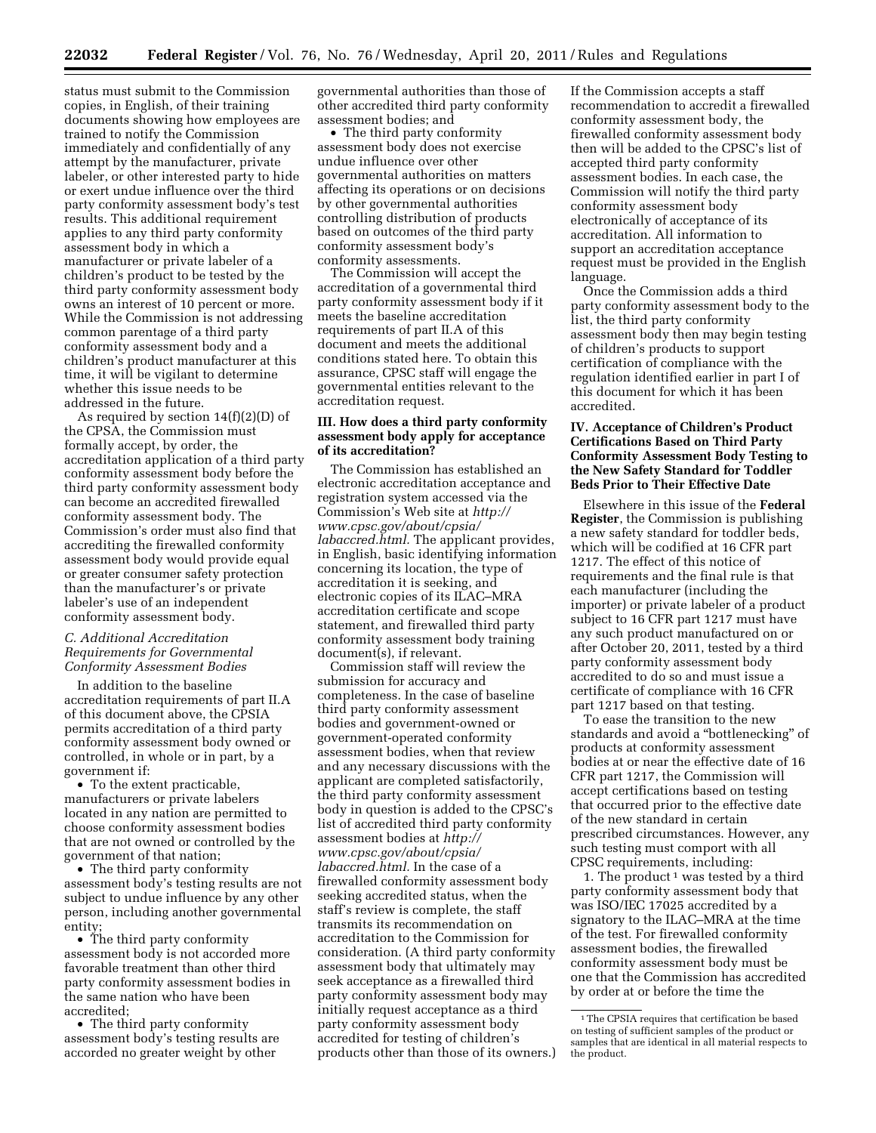status must submit to the Commission copies, in English, of their training documents showing how employees are trained to notify the Commission immediately and confidentially of any attempt by the manufacturer, private labeler, or other interested party to hide or exert undue influence over the third party conformity assessment body's test results. This additional requirement applies to any third party conformity assessment body in which a manufacturer or private labeler of a children's product to be tested by the third party conformity assessment body owns an interest of 10 percent or more. While the Commission is not addressing common parentage of a third party conformity assessment body and a children's product manufacturer at this time, it will be vigilant to determine whether this issue needs to be addressed in the future.

As required by section 14(f)(2)(D) of the CPSA, the Commission must formally accept, by order, the accreditation application of a third party conformity assessment body before the third party conformity assessment body can become an accredited firewalled conformity assessment body. The Commission's order must also find that accrediting the firewalled conformity assessment body would provide equal or greater consumer safety protection than the manufacturer's or private labeler's use of an independent conformity assessment body.

#### *C. Additional Accreditation Requirements for Governmental Conformity Assessment Bodies*

In addition to the baseline accreditation requirements of part II.A of this document above, the CPSIA permits accreditation of a third party conformity assessment body owned or controlled, in whole or in part, by a government if:

• To the extent practicable, manufacturers or private labelers located in any nation are permitted to choose conformity assessment bodies that are not owned or controlled by the government of that nation;

• The third party conformity assessment body's testing results are not subject to undue influence by any other person, including another governmental entity;

• The third party conformity assessment body is not accorded more favorable treatment than other third party conformity assessment bodies in the same nation who have been accredited;

• The third party conformity assessment body's testing results are accorded no greater weight by other

governmental authorities than those of other accredited third party conformity assessment bodies; and

• The third party conformity assessment body does not exercise undue influence over other governmental authorities on matters affecting its operations or on decisions by other governmental authorities controlling distribution of products based on outcomes of the third party conformity assessment body's conformity assessments.

The Commission will accept the accreditation of a governmental third party conformity assessment body if it meets the baseline accreditation requirements of part II.A of this document and meets the additional conditions stated here. To obtain this assurance, CPSC staff will engage the governmental entities relevant to the accreditation request.

#### **III. How does a third party conformity assessment body apply for acceptance of its accreditation?**

The Commission has established an electronic accreditation acceptance and registration system accessed via the Commission's Web site at *[http://](http://www.cpsc.gov/about/cpsia/labaccred.html)  [www.cpsc.gov/about/cpsia/](http://www.cpsc.gov/about/cpsia/labaccred.html) [labaccred.html.](http://www.cpsc.gov/about/cpsia/labaccred.html)* The applicant provides, in English, basic identifying information concerning its location, the type of accreditation it is seeking, and electronic copies of its ILAC–MRA accreditation certificate and scope statement, and firewalled third party conformity assessment body training document(s), if relevant.

Commission staff will review the submission for accuracy and completeness. In the case of baseline third party conformity assessment bodies and government-owned or government-operated conformity assessment bodies, when that review and any necessary discussions with the applicant are completed satisfactorily, the third party conformity assessment body in question is added to the CPSC's list of accredited third party conformity assessment bodies at *[http://](http://www.cpsc.gov/about/cpsia/labaccred.html) [www.cpsc.gov/about/cpsia/](http://www.cpsc.gov/about/cpsia/labaccred.html) [labaccred.html.](http://www.cpsc.gov/about/cpsia/labaccred.html)* In the case of a firewalled conformity assessment body seeking accredited status, when the staff's review is complete, the staff transmits its recommendation on accreditation to the Commission for consideration. (A third party conformity assessment body that ultimately may seek acceptance as a firewalled third party conformity assessment body may initially request acceptance as a third party conformity assessment body accredited for testing of children's products other than those of its owners.) If the Commission accepts a staff recommendation to accredit a firewalled conformity assessment body, the firewalled conformity assessment body then will be added to the CPSC's list of accepted third party conformity assessment bodies. In each case, the Commission will notify the third party conformity assessment body electronically of acceptance of its accreditation. All information to support an accreditation acceptance request must be provided in the English language.

Once the Commission adds a third party conformity assessment body to the list, the third party conformity assessment body then may begin testing of children's products to support certification of compliance with the regulation identified earlier in part I of this document for which it has been accredited.

### **IV. Acceptance of Children's Product Certifications Based on Third Party Conformity Assessment Body Testing to the New Safety Standard for Toddler Beds Prior to Their Effective Date**

Elsewhere in this issue of the **Federal Register**, the Commission is publishing a new safety standard for toddler beds, which will be codified at 16 CFR part 1217. The effect of this notice of requirements and the final rule is that each manufacturer (including the importer) or private labeler of a product subject to 16 CFR part 1217 must have any such product manufactured on or after October 20, 2011, tested by a third party conformity assessment body accredited to do so and must issue a certificate of compliance with 16 CFR part 1217 based on that testing.

To ease the transition to the new standards and avoid a ''bottlenecking'' of products at conformity assessment bodies at or near the effective date of 16 CFR part 1217, the Commission will accept certifications based on testing that occurred prior to the effective date of the new standard in certain prescribed circumstances. However, any such testing must comport with all CPSC requirements, including:

1. The product<sup>1</sup> was tested by a third party conformity assessment body that was ISO/IEC 17025 accredited by a signatory to the ILAC–MRA at the time of the test. For firewalled conformity assessment bodies, the firewalled conformity assessment body must be one that the Commission has accredited by order at or before the time the

<sup>&</sup>lt;sup>1</sup>The CPSIA requires that certification be based on testing of sufficient samples of the product or samples that are identical in all material respects to the product.